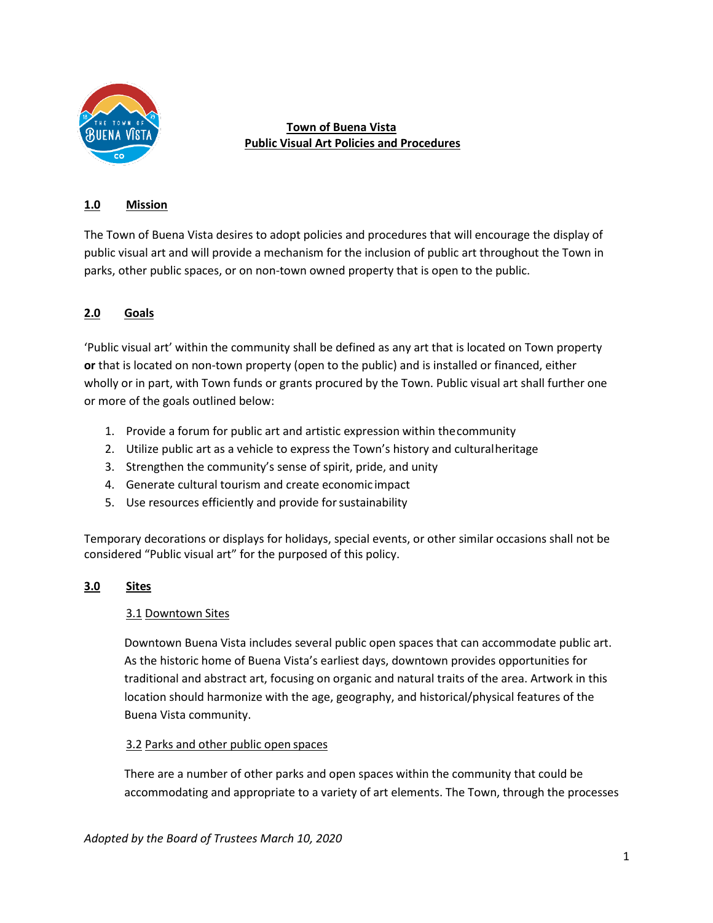

### **Town of Buena Vista Public Visual Art Policies and Procedures**

### **1.0 Mission**

The Town of Buena Vista desires to adopt policies and procedures that will encourage the display of public visual art and will provide a mechanism for the inclusion of public art throughout the Town in parks, other public spaces, or on non-town owned property that is open to the public.

# **2.0 Goals**

'Public visual art' within the community shall be defined as any art that is located on Town property **or** that is located on non-town property (open to the public) and is installed or financed, either wholly or in part, with Town funds or grants procured by the Town. Public visual art shall further one or more of the goals outlined below:

- 1. Provide a forum for public art and artistic expression within thecommunity
- 2. Utilize public art as a vehicle to express the Town's history and culturalheritage
- 3. Strengthen the community's sense of spirit, pride, and unity
- 4. Generate cultural tourism and create economic impact
- 5. Use resources efficiently and provide for sustainability

Temporary decorations or displays for holidays, special events, or other similar occasions shall not be considered "Public visual art" for the purposed of this policy.

### **3.0 Sites**

### 3.1 Downtown Sites

Downtown Buena Vista includes several public open spaces that can accommodate public art. As the historic home of Buena Vista's earliest days, downtown provides opportunities for traditional and abstract art, focusing on organic and natural traits of the area. Artwork in this location should harmonize with the age, geography, and historical/physical features of the Buena Vista community.

### 3.2 Parks and other public open spaces

There are a number of other parks and open spaces within the community that could be accommodating and appropriate to a variety of art elements. The Town, through the processes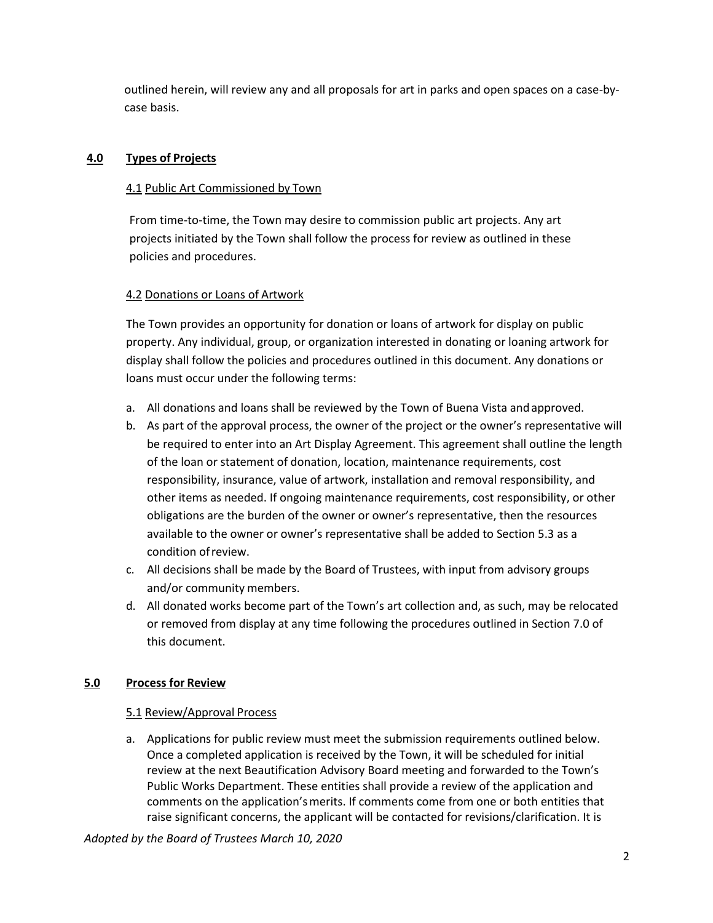outlined herein, will review any and all proposals for art in parks and open spaces on a case-bycase basis.

### **4.0 Types of Projects**

### 4.1 Public Art Commissioned by Town

From time-to-time, the Town may desire to commission public art projects. Any art projects initiated by the Town shall follow the process for review as outlined in these policies and procedures.

## 4.2 Donations or Loans of Artwork

The Town provides an opportunity for donation or loans of artwork for display on public property. Any individual, group, or organization interested in donating or loaning artwork for display shall follow the policies and procedures outlined in this document. Any donations or loans must occur under the following terms:

- a. All donations and loans shall be reviewed by the Town of Buena Vista andapproved.
- b. As part of the approval process, the owner of the project or the owner's representative will be required to enter into an Art Display Agreement. This agreement shall outline the length of the loan or statement of donation, location, maintenance requirements, cost responsibility, insurance, value of artwork, installation and removal responsibility, and other items as needed. If ongoing maintenance requirements, cost responsibility, or other obligations are the burden of the owner or owner's representative, then the resources available to the owner or owner's representative shall be added to Section 5.3 as a condition ofreview.
- c. All decisions shall be made by the Board of Trustees, with input from advisory groups and/or community members.
- d. All donated works become part of the Town's art collection and, as such, may be relocated or removed from display at any time following the procedures outlined in Section 7.0 of this document.

## **5.0 Process for Review**

### 5.1 Review/Approval Process

a. Applications for public review must meet the submission requirements outlined below. Once a completed application is received by the Town, it will be scheduled for initial review at the next Beautification Advisory Board meeting and forwarded to the Town's Public Works Department. These entities shall provide a review of the application and comments on the application's merits. If comments come from one or both entities that raise significant concerns, the applicant will be contacted for revisions/clarification. It is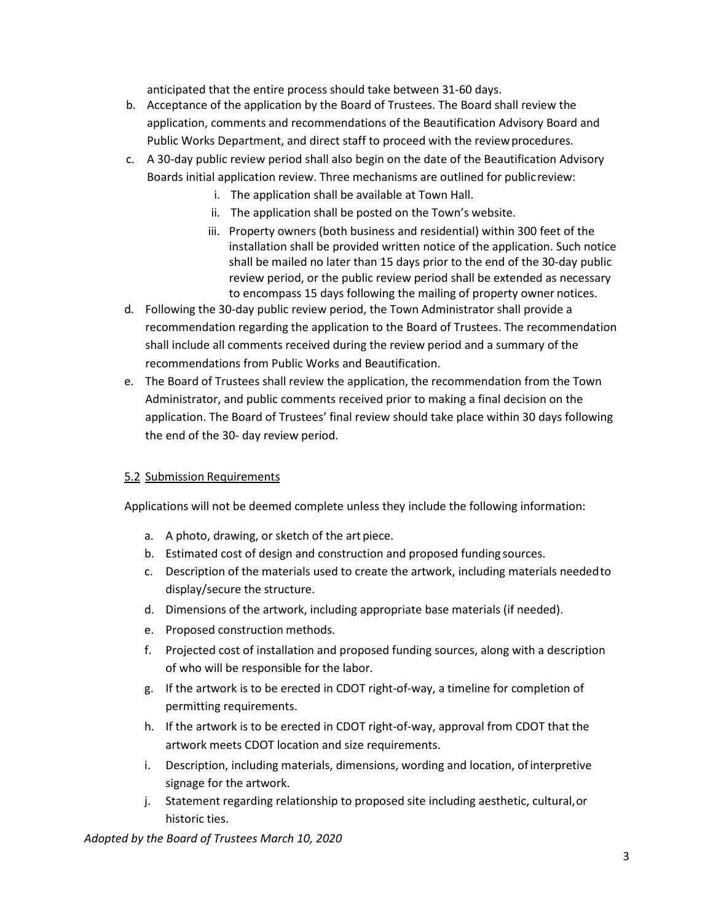anticipated that the entire process should take between 31-60 days.

- b. Acceptance of the application by the Board of Trustees. The Board shall review the application, comments and recommendations of the Beautification Advisory Board and Public Works Department, and direct staff to proceed with the review procedures.
- c. A 30-day public review period shall also begin on the date of the Beautification Advisory Boards initial application review. Three mechanisms are outlined for publicreview:
	- i. The application shall be available at Town Hall.
	- ii. The application shall be posted on the Town's website.
	- iii. Property owners (both business and residential) within 300 feet of the installation shall be provided written notice of the application. Such notice shall be mailed no later than 15 days prior to the end of the 30-day public review period, or the public review period shall be extended as necessary to encompass 15 days following the mailing of property owner notices.
- d. Following the 30-day public review period, the Town Administrator shall provide a recommendation regarding the application to the Board of Trustees. The recommendation shall include all comments received during the review period and a summary of the recommendations from Public Works and Beautification.
- e. The Board of Trustees shall review the application, the recommendation from the Town Administrator, and public comments received prior to making a final decision on the application. The Board of Trustees' final review should take place within 30 days following the end of the 30- day review period.

### 5.2 Submission Requirements

Applications will not be deemed complete unless they include the following information:

- a. A photo, drawing, or sketch of the art piece.
- b. Estimated cost of design and construction and proposed funding sources.
- c. Description of the materials used to create the artwork, including materials neededto display/secure the structure.
- d. Dimensions of the artwork, including appropriate base materials (if needed).
- e. Proposed construction methods.
- f. Projected cost of installation and proposed funding sources, along with a description of who will be responsible for the labor.
- g. If the artwork is to be erected in CDOT right-of-way, a timeline for completion of permitting requirements.
- h. If the artwork is to be erected in CDOT right-of-way, approval from CDOT that the artwork meets CDOT location and size requirements.
- i. Description, including materials, dimensions, wording and location, ofinterpretive signage for the artwork.
- j. Statement regarding relationship to proposed site including aesthetic, cultural,or historic ties.

*Adopted by the Board of Trustees March 10, 2020*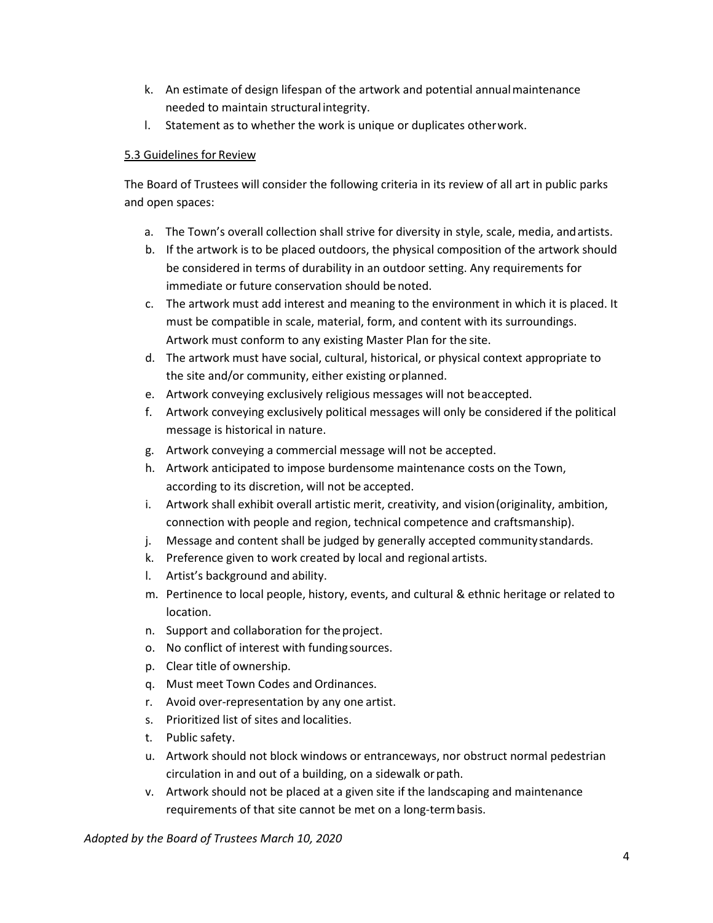- k. An estimate of design lifespan of the artwork and potential annualmaintenance needed to maintain structural integrity.
- l. Statement as to whether the work is unique or duplicates otherwork.

#### 5.3 Guidelines for Review

The Board of Trustees will consider the following criteria in its review of all art in public parks and open spaces:

- a. The Town's overall collection shall strive for diversity in style, scale, media, andartists.
- b. If the artwork is to be placed outdoors, the physical composition of the artwork should be considered in terms of durability in an outdoor setting. Any requirements for immediate or future conservation should be noted.
- c. The artwork must add interest and meaning to the environment in which it is placed. It must be compatible in scale, material, form, and content with its surroundings. Artwork must conform to any existing Master Plan for the site.
- d. The artwork must have social, cultural, historical, or physical context appropriate to the site and/or community, either existing orplanned.
- e. Artwork conveying exclusively religious messages will not beaccepted.
- f. Artwork conveying exclusively political messages will only be considered if the political message is historical in nature.
- g. Artwork conveying a commercial message will not be accepted.
- h. Artwork anticipated to impose burdensome maintenance costs on the Town, according to its discretion, will not be accepted.
- i. Artwork shall exhibit overall artistic merit, creativity, and vision(originality, ambition, connection with people and region, technical competence and craftsmanship).
- j. Message and content shall be judged by generally accepted communitystandards.
- k. Preference given to work created by local and regional artists.
- l. Artist's background and ability.
- m. Pertinence to local people, history, events, and cultural & ethnic heritage or related to location.
- n. Support and collaboration for theproject.
- o. No conflict of interest with fundingsources.
- p. Clear title of ownership.
- q. Must meet Town Codes and Ordinances.
- r. Avoid over-representation by any one artist.
- s. Prioritized list of sites and localities.
- t. Public safety.
- u. Artwork should not block windows or entranceways, nor obstruct normal pedestrian circulation in and out of a building, on a sidewalk orpath.
- v. Artwork should not be placed at a given site if the landscaping and maintenance requirements of that site cannot be met on a long-termbasis.

*Adopted by the Board of Trustees March 10, 2020*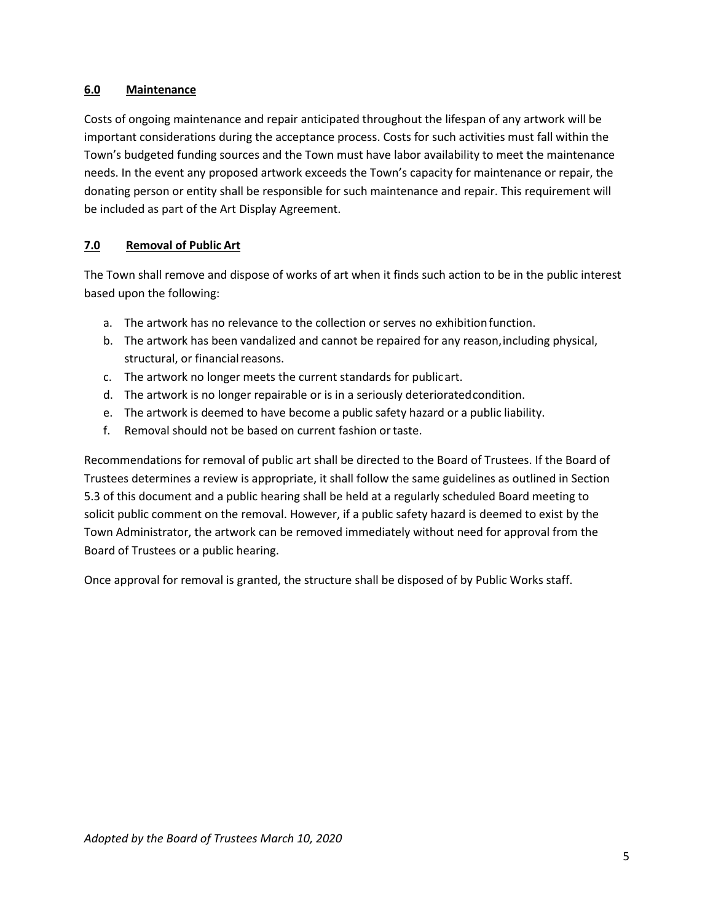### **6.0 Maintenance**

Costs of ongoing maintenance and repair anticipated throughout the lifespan of any artwork will be important considerations during the acceptance process. Costs for such activities must fall within the Town's budgeted funding sources and the Town must have labor availability to meet the maintenance needs. In the event any proposed artwork exceeds the Town's capacity for maintenance or repair, the donating person or entity shall be responsible for such maintenance and repair. This requirement will be included as part of the Art Display Agreement.

### **7.0 Removal of Public Art**

The Town shall remove and dispose of works of art when it finds such action to be in the public interest based upon the following:

- a. The artwork has no relevance to the collection or serves no exhibitionfunction.
- b. The artwork has been vandalized and cannot be repaired for any reason,including physical, structural, or financial reasons.
- c. The artwork no longer meets the current standards for publicart.
- d. The artwork is no longer repairable or is in a seriously deterioratedcondition.
- e. The artwork is deemed to have become a public safety hazard or a public liability.
- f. Removal should not be based on current fashion ortaste.

Recommendations for removal of public art shall be directed to the Board of Trustees. If the Board of Trustees determines a review is appropriate, it shall follow the same guidelines as outlined in Section 5.3 of this document and a public hearing shall be held at a regularly scheduled Board meeting to solicit public comment on the removal. However, if a public safety hazard is deemed to exist by the Town Administrator, the artwork can be removed immediately without need for approval from the Board of Trustees or a public hearing.

Once approval for removal is granted, the structure shall be disposed of by Public Works staff.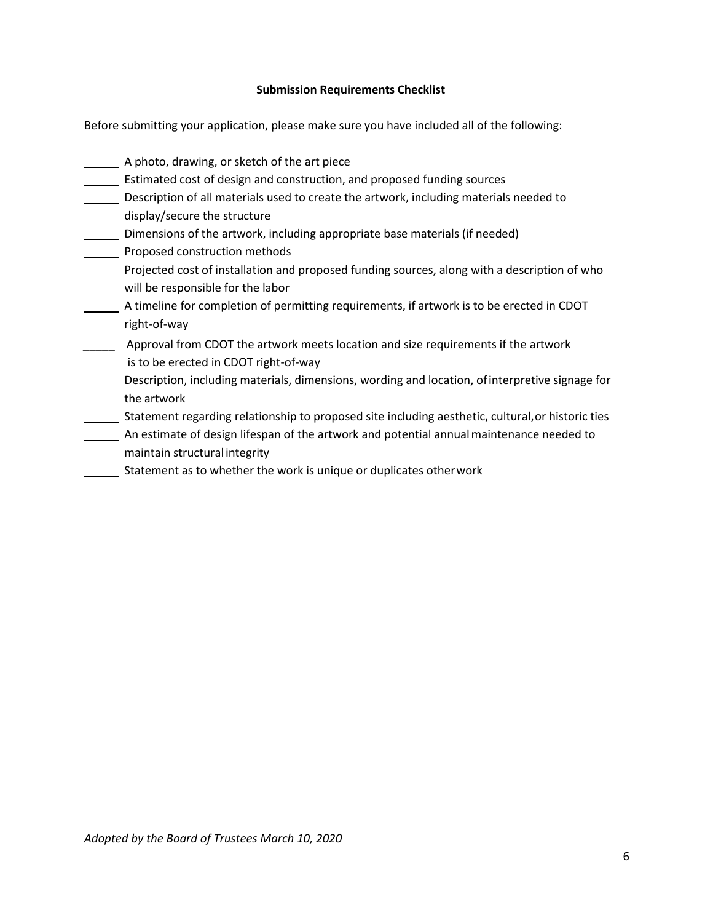#### **Submission Requirements Checklist**

Before submitting your application, please make sure you have included all of the following:

A photo, drawing, or sketch of the art piece **Estimated cost of design and construction, and proposed funding sources** Description of all materials used to create the artwork, including materials needed to display/secure the structure Dimensions of the artwork, including appropriate base materials (if needed) **Proposed construction methods** Projected cost of installation and proposed funding sources, along with a description of who will be responsible for the labor A timeline for completion of permitting requirements, if artwork is to be erected in CDOT right-of-way **\_\_\_\_\_** Approval from CDOT the artwork meets location and size requirements if the artwork is to be erected in CDOT right-of-way Description, including materials, dimensions, wording and location, ofinterpretive signage for the artwork Statement regarding relationship to proposed site including aesthetic, cultural,or historic ties **An estimate of design lifespan of the artwork and potential annual maintenance needed to** maintain structural integrity Statement as to whether the work is unique or duplicates otherwork